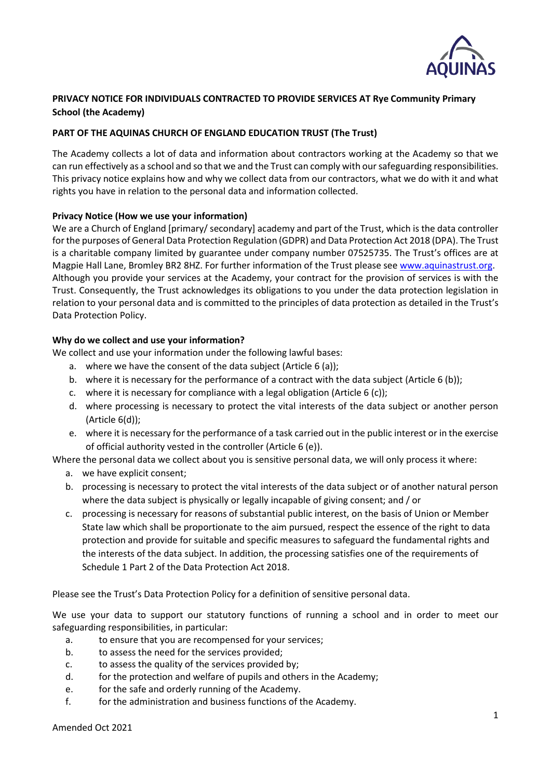

# **PRIVACY NOTICE FOR INDIVIDUALS CONTRACTED TO PROVIDE SERVICES AT Rye Community Primary School (the Academy)**

## **PART OF THE AQUINAS CHURCH OF ENGLAND EDUCATION TRUST (The Trust)**

The Academy collects a lot of data and information about contractors working at the Academy so that we can run effectively as a school and so that we and the Trust can comply with our safeguarding responsibilities. This privacy notice explains how and why we collect data from our contractors, what we do with it and what rights you have in relation to the personal data and information collected.

### **Privacy Notice (How we use your information)**

We are a Church of England [primary/ secondary] academy and part of the Trust, which is the data controller for the purposes of General Data Protection Regulation (GDPR) and Data Protection Act 2018 (DPA). The Trust is a charitable company limited by guarantee under company number 07525735. The Trust's offices are at Magpie Hall Lane, Bromley BR2 8HZ. For further information of the Trust please see [www.aquinastrust.org.](http://www.aquinastrust.org/) Although you provide your services at the Academy, your contract for the provision of services is with the Trust. Consequently, the Trust acknowledges its obligations to you under the data protection legislation in relation to your personal data and is committed to the principles of data protection as detailed in the Trust's Data Protection Policy.

### **Why do we collect and use your information?**

We collect and use your information under the following lawful bases:

- a. where we have the consent of the data subject (Article 6 (a));
- b. where it is necessary for the performance of a contract with the data subject (Article 6 (b));
- c. where it is necessary for compliance with a legal obligation (Article 6 (c));
- d. where processing is necessary to protect the vital interests of the data subject or another person (Article 6(d));
- e. where it is necessary for the performance of a task carried out in the public interest or in the exercise of official authority vested in the controller (Article 6 (e)).

Where the personal data we collect about you is sensitive personal data, we will only process it where:

- a. we have explicit consent;
- b. processing is necessary to protect the vital interests of the data subject or of another natural person where the data subject is physically or legally incapable of giving consent; and / or
- c. processing is necessary for reasons of substantial public interest, on the basis of Union or Member State law which shall be proportionate to the aim pursued, respect the essence of the right to data protection and provide for suitable and specific measures to safeguard the fundamental rights and the interests of the data subject. In addition, the processing satisfies one of the requirements of Schedule 1 Part 2 of the Data Protection Act 2018.

Please see the Trust's Data Protection Policy for a definition of sensitive personal data.

We use your data to support our statutory functions of running a school and in order to meet our safeguarding responsibilities, in particular:

- a. to ensure that you are recompensed for your services;
- b. to assess the need for the services provided;
- c. to assess the quality of the services provided by;
- d. for the protection and welfare of pupils and others in the Academy;
- e. for the safe and orderly running of the Academy.
- f. for the administration and business functions of the Academy.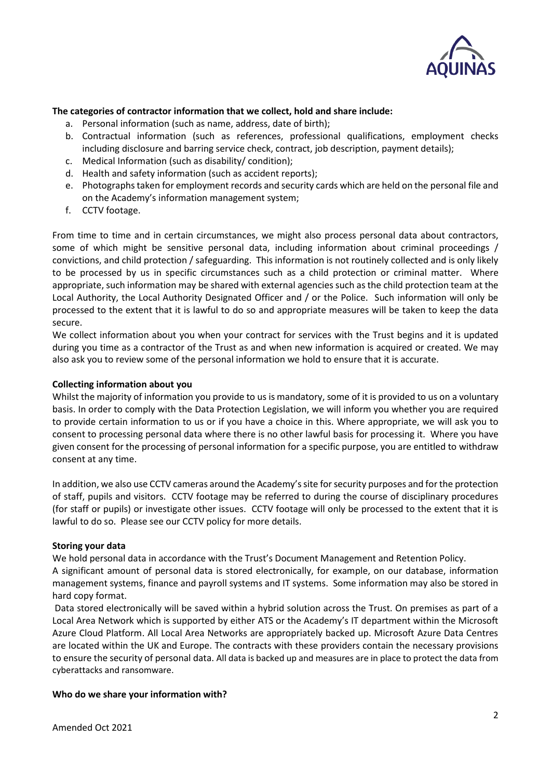

### **The categories of contractor information that we collect, hold and share include:**

- a. Personal information (such as name, address, date of birth);
- b. Contractual information (such as references, professional qualifications, employment checks including disclosure and barring service check, contract, job description, payment details);
- c. Medical Information (such as disability/ condition);
- d. Health and safety information (such as accident reports);
- e. Photographs taken for employment records and security cards which are held on the personal file and on the Academy's information management system;
- f. CCTV footage.

From time to time and in certain circumstances, we might also process personal data about contractors, some of which might be sensitive personal data, including information about criminal proceedings / convictions, and child protection / safeguarding. This information is not routinely collected and is only likely to be processed by us in specific circumstances such as a child protection or criminal matter. Where appropriate, such information may be shared with external agencies such as the child protection team at the Local Authority, the Local Authority Designated Officer and / or the Police. Such information will only be processed to the extent that it is lawful to do so and appropriate measures will be taken to keep the data secure.

We collect information about you when your contract for services with the Trust begins and it is updated during you time as a contractor of the Trust as and when new information is acquired or created. We may also ask you to review some of the personal information we hold to ensure that it is accurate.

#### **Collecting information about you**

Whilst the majority of information you provide to us is mandatory, some of it is provided to us on a voluntary basis. In order to comply with the Data Protection Legislation, we will inform you whether you are required to provide certain information to us or if you have a choice in this. Where appropriate, we will ask you to consent to processing personal data where there is no other lawful basis for processing it. Where you have given consent for the processing of personal information for a specific purpose, you are entitled to withdraw consent at any time.

In addition, we also use CCTV cameras around the Academy'ssite for security purposes and for the protection of staff, pupils and visitors. CCTV footage may be referred to during the course of disciplinary procedures (for staff or pupils) or investigate other issues. CCTV footage will only be processed to the extent that it is lawful to do so. Please see our CCTV policy for more details.

### **Storing your data**

We hold personal data in accordance with the Trust's Document Management and Retention Policy.

A significant amount of personal data is stored electronically, for example, on our database, information management systems, finance and payroll systems and IT systems. Some information may also be stored in hard copy format.

Data stored electronically will be saved within a hybrid solution across the Trust. On premises as part of a Local Area Network which is supported by either ATS or the Academy's IT department within the Microsoft Azure Cloud Platform. All Local Area Networks are appropriately backed up. Microsoft Azure Data Centres are located within the UK and Europe. The contracts with these providers contain the necessary provisions to ensure the security of personal data. All data is backed up and measures are in place to protect the data from cyberattacks and ransomware.

### **Who do we share your information with?**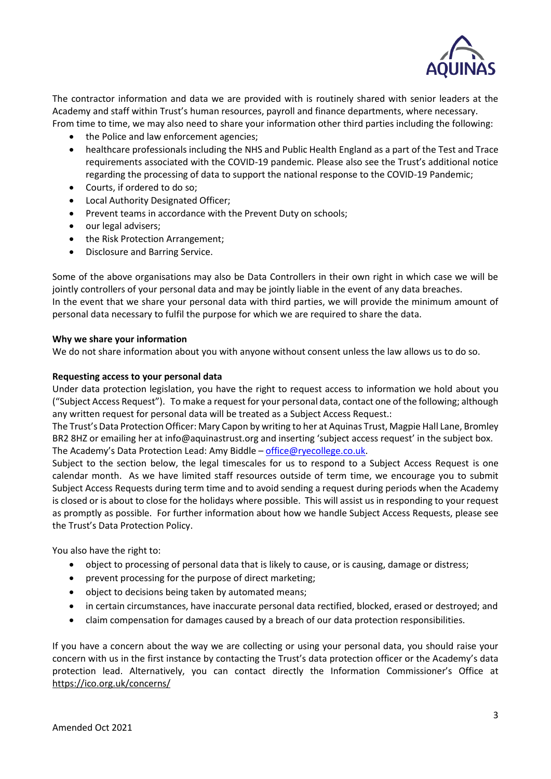

The contractor information and data we are provided with is routinely shared with senior leaders at the Academy and staff within Trust's human resources, payroll and finance departments, where necessary. From time to time, we may also need to share your information other third parties including the following:

- the Police and law enforcement agencies;
- healthcare professionals including the NHS and Public Health England as a part of the Test and Trace requirements associated with the COVID-19 pandemic. Please also see the Trust's additional notice regarding the processing of data to support the national response to the COVID-19 Pandemic;
- Courts, if ordered to do so;
- Local Authority Designated Officer;
- Prevent teams in accordance with the Prevent Duty on schools;
- our legal advisers;
- the Risk Protection Arrangement;
- Disclosure and Barring Service.

Some of the above organisations may also be Data Controllers in their own right in which case we will be jointly controllers of your personal data and may be jointly liable in the event of any data breaches. In the event that we share your personal data with third parties, we will provide the minimum amount of personal data necessary to fulfil the purpose for which we are required to share the data.

### **Why we share your information**

We do not share information about you with anyone without consent unless the law allows us to do so.

#### **Requesting access to your personal data**

Under data protection legislation, you have the right to request access to information we hold about you ("Subject Access Request"). To make a request for your personal data, contact one of the following; although any written request for personal data will be treated as a Subject Access Request.:

The Trust's Data Protection Officer: Mary Capon by writing to her at Aquinas Trust, Magpie Hall Lane, Bromley BR2 8HZ or emailing her at info@aquinastrust.org and inserting 'subject access request' in the subject box. The Academy's Data Protection Lead: Amy Biddle – [office@ryecollege.co.uk.](mailto:office@ryecollege.co.uk)

Subject to the section below, the legal timescales for us to respond to a Subject Access Request is one calendar month. As we have limited staff resources outside of term time, we encourage you to submit Subject Access Requests during term time and to avoid sending a request during periods when the Academy is closed or is about to close for the holidays where possible. This will assist us in responding to your request as promptly as possible. For further information about how we handle Subject Access Requests, please see the Trust's Data Protection Policy.

You also have the right to:

- object to processing of personal data that is likely to cause, or is causing, damage or distress;
- prevent processing for the purpose of direct marketing;
- object to decisions being taken by automated means;
- in certain circumstances, have inaccurate personal data rectified, blocked, erased or destroyed; and
- claim compensation for damages caused by a breach of our data protection responsibilities.

If you have a concern about the way we are collecting or using your personal data, you should raise your concern with us in the first instance by contacting the Trust's data protection officer or the Academy's data protection lead. Alternatively, you can contact directly the Information Commissioner's Office at <https://ico.org.uk/concerns/>